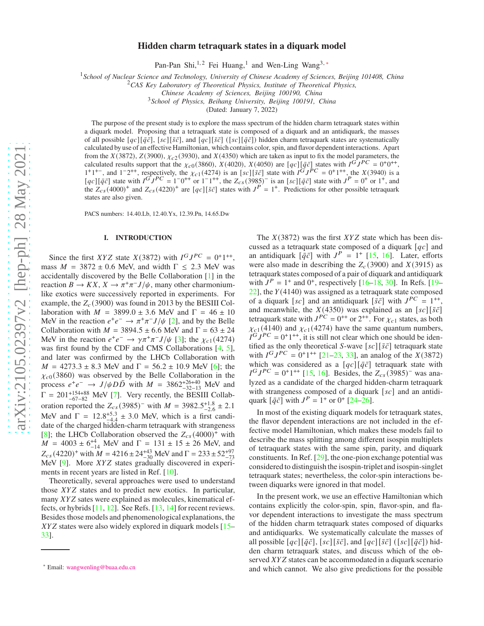## **Hidden charm tetraquark states in a diquark model**

Pan-Pan Shi,<sup>1,2</sup> Fei Huang,<sup>1</sup> and Wen-Ling Wang<sup>3,\*</sup>

<sup>1</sup>*School of Nuclear Science and Technology, University of Chinese Academy of Sciences, Beijing 101408, China*

<sup>2</sup>*CAS Key Laboratory of Theoretical Physics, Institute of Theoretical Physics,*

*Chinese Academy of Sciences, Beijing 100190, China*

<sup>3</sup>*School of Physics, Beihang University, Beijing 100191, China*

(Dated: January 7, 2022)

The purpose of the present study is to explore the mass spectrum of the hidden charm tetraquark states within a diquark model. Proposing that a tetraquark state is composed of a diquark and an antidiquark, the masses of all possible  $[qc][\bar{q}\bar{c}], [sc][\bar{s}\bar{c}],$  and  $[qc][\bar{q}\bar{c}]$  ( $[sc][\bar{q}\bar{c}]$ ) hidden charm tetraquark states are systematically calculated by use of an effective Hamiltonian, which contains color, spin, and flavor dependent interactions. Apart from the  $X(3872)$ ,  $Z(3900)$ ,  $\chi_{c2}(3930)$ , and  $X(4350)$  which are taken as input to fix the model parameters, the calculated results support that the  $\chi_{c0}(3860)$ ,  $X(4020)$ ,  $X(4050)$  are  $[qc] [\bar{q}\bar{c}]$  states with  $I^G J^{PC} = 0^+0^+$ ,  $1^+1^+$ , and  $1^-2^{++}$ , respectively, the  $\chi_{c1}(4274)$  is an  $[sc][\bar{s}\bar{c}]$  state with  $I^GJ^PC = 0^+1^{++}$ , the  $X(3940)$  is a  $[qc][\bar{q}\bar{c}]$  state with  $I^G J^P C = 1^{-}0^{++}$  or  $1^{-}1^{++}$ , the  $Z_{cs}(3985)^{-}$  is an  $[sc][\bar{q}\bar{c}]$  state with  $J^P = 0^{+}$  or  $1^{+}$ , and the  $Z_{cs}(4000)^+$  and  $Z_{cs}(4220)^+$  are  $[qc][\bar{s}\bar{c}]$  states with  $J^P = 1^+$ . Predictions for other possible tetraquark states are also given.

PACS numbers: 14.40.Lb, 12.40.Yx, 12.39.Pn, 14.65.Dw

#### **I. INTRODUCTION**

Since the first XYZ state  $X(3872)$  with  $I^G J^{PC} = 0^+ 1^{++}$ , mass  $M = 3872 \pm 0.6$  MeV, and width  $\Gamma \le 2.3$  MeV was accidentally discovered by the Belle Collaboration [\[1\]](#page-8-0) in the reaction  $B \to KX$ ,  $X \to \pi^+\pi^- J/\psi$ , many other charmoniumlike exotics were successively reported in experiments. For example, the  $Z_c(3900)$  was found in 2013 by the BESIII Collaboration with  $M = 3899.0 \pm 3.6$  MeV and  $\Gamma = 46 \pm 10$ MeV in the reaction  $e^+e^- \rightarrow \pi^+\pi^- J/\psi$  [\[2\]](#page-8-1), and by the Belle Collaboration with  $M = 3894.5 \pm 6.6$  MeV and  $\Gamma = 63 \pm 24$ MeV in the reaction  $e^+e^- \rightarrow \gamma \pi^+ \pi^- J/\psi$  [\[3\]](#page-8-2); the  $\chi_{c1}(4274)$ was first found by the CDF and CMS Collaborations [\[4,](#page-8-3) [5](#page-8-4)], and later was confirmed by the LHCb Collaboration with  $M = 4273.3 \pm 8.3$  MeV and  $\Gamma = 56.2 \pm 10.9$  MeV [\[6\]](#page-8-5); the  $\chi_{c0}(3860)$  was observed by the Belle Collaboration in the process  $e^+e^-$  →  $J/\psi D\bar{D}$  with  $M = 3862^{+26+40}_{-32-13}$  MeV and  $\Gamma = 201^{+154+88}_{-67-82}$  MeV [\[7](#page-8-6)]. Very recently, the BESIII Collaboration reported the  $Z_{cs}$ (3985)<sup>-</sup> with  $M = 3982.5^{+1.8}_{-2.6} \pm 2.1$ MeV and  $\Gamma = 12.8_{-4.4}^{+5.3} \pm 3.0$  MeV, which is a first candi-<br>data of the channel liable a channel time suggests with strongeneous date of the charged hidden-charm tetraquark with strangeness [\[8](#page-8-7)]; the LHCb Collaboration observed the  $Z_{cs}(4000)^+$  with  $M = 4003 \pm 6^{+4}_{-14}$  MeV and  $\Gamma = 131 \pm 15 \pm 26$  MeV, and  $Z_{cs}$  (4220)<sup>+</sup> with  $M = 4216 \pm 24^{+43}_{-30}$  MeV and  $\Gamma = 233 \pm 52^{+97}_{-73}$ <br>MeV  $\Omega_{\text{max}}$  Mere YVZ states are also lively discovered in available MeV  $[9]$ . More *XYZ* states gradually discovered in experiments in recent years are listed in Ref. [\[10\]](#page-8-9).

Theoretically, several approaches were used to understand those XYZ states and to predict new exotics. In particular, many  $XYZ$  sates were explained as molecules, kinematical effects, or hybrids [\[11](#page-8-10), [12\]](#page-8-11). See Refs. [\[13,](#page-8-12) [14\]](#page-8-13) for recent reviews. Besides those models and phenomenological explanations, the  $XYZ$  states were also widely explored in diquark models  $[15-$ [33](#page-8-15)].

The  $X(3872)$  was the first  $XYZ$  state which has been discussed as a tetraquark state composed of a diquark  $[qc]$  and an antidiquark  $[\bar{q}\bar{c}]$  with  $J^P = 1^+$  [\[15,](#page-8-14) [16\]](#page-8-16). Later, efforts were also made in describing the  $Z_c(3900)$  and  $X(3915)$  as tetraquark states composed of a pair of diquark and antidiquark with  $J^P = 1^+$  and  $0^+$ , respectively [\[16](#page-8-16)[–18,](#page-8-17) [30\]](#page-8-18). In Refs. [\[19](#page-8-19)–  $22$ ], the  $Y(4140)$  was assigned as a tetraquark state composed of a diquark [sc] and an antidiquark  $\left[\bar{s}\bar{c}\right]$  with  $J^{PC} = 1^{++}$ , and meanwhile, the  $X(4350)$  was explained as an  $[sc][\bar{s}\bar{c}]$ tetraquark state with  $J^{PC} = 0^{++}$  or  $2^{++}$ . For  $\chi_{c1}$  states, as both  $\chi_{c1}(4140)$  and  $\chi_{c1}(4274)$  have the same quantum numbers,  $\hat{I}^G J^P C = 0^+ 1^{++}$ , it is still not clear which one should be identified as the only theoretical S-wave  $[sc][\bar{s}\bar{c}]$  tetraquark state with  $I^G J^{PC} = 0^+ 1^{++}$  [\[21](#page-8-21)[–23](#page-8-22), [33\]](#page-8-15), an analog of the  $X(3872)$ which was considered as a  $[qc][\bar{q}\bar{c}]$  tetraquark state with  $I^G J^{PC} = 0^+1^{++}$  [\[15](#page-8-14), [16\]](#page-8-16). Besides, the  $Z_{cs}$  (3985)<sup>-</sup> was analyzed as a candidate of the charged hidden-charm tetraquark with strangeness composed of a diquark  $[sc]$  and an antidiquark  $[\bar{q}\bar{c}]$  with  $J^P = 1^+$  or  $0^+$  [\[24](#page-8-23)[–26\]](#page-8-24).

In most of the existing diquark models for tetraquark states, the flavor dependent interactions are not included in the effective model Hamiltonian, which makes these models fail to describe the mass splitting among different isospin multiplets of tetraquark states with the same spin, parity, and diquark constituents. In Ref. [\[29\]](#page-8-25), the one-pion exchange potential was considered to distinguish the isospin-triplet and isospin-singlet tetraquark states; nevertheless, the color-spin interactions between diquarks were ignored in that model.

In the present work, we use an effective Hamiltonian which contains explicitly the color-spin, spin, flavor-spin, and flavor dependent interactions to investigate the mass spectrum of the hidden charm tetraquark states composed of diquarks and antidiquarks. We systematically calculate the masses of all possible  $[qc][\bar{q}\bar{c}]$ ,  $[sc][\bar{s}\bar{c}]$ , and  $[qc][\bar{s}\bar{c}]$  ( $[sc][\bar{q}\bar{c}]$ ) hidden charm tetraquark states, and discuss which of the observed XYZ states can be accommodated in a diquark scenario and which cannot. We also give predictions for the possible

<span id="page-0-0"></span><sup>∗</sup> Email: [wangwenling@buaa.edu.cn](mailto:wangwenling@buaa.edu.cn)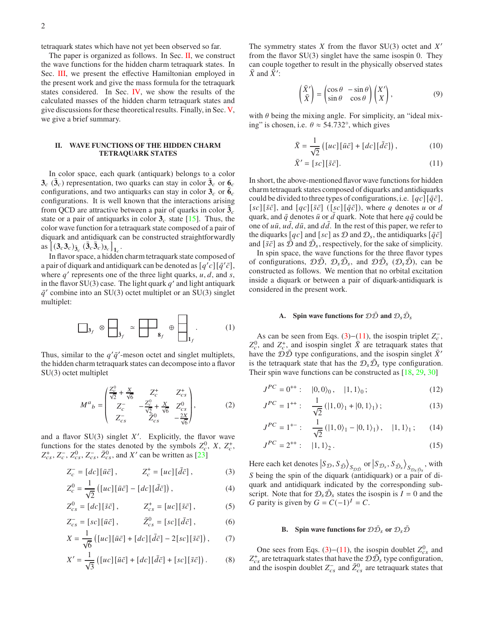tetraquark states which have not yet been observed so far.

The paper is organized as follows. In Sec. [II,](#page-1-0) we construct the wave functions for the hidden charm tetraquark states. In Sec. [III,](#page-2-0) we present the effective Hamiltonian employed in the present work and give the mass formula for the tetraquark states considered. In Sec. [IV,](#page-4-0) we show the results of the calculated masses of the hidden charm tetraquark states and give discussions for these theoretical results. Finally, in Sec. [V,](#page-5-0) we give a brief summary.

### <span id="page-1-0"></span>**II. WAVE FUNCTIONS OF THE HIDDEN CHARM TETRAQUARK STATES**

In color space, each quark (antiquark) belongs to a color  $3_c$  ( $\bar{3}_c$ ) representation, two quarks can stay in color  $\bar{3}_c$  or  $6_c$ configurations, and two antiquarks can stay in color  $3_c$  or  $\bar{6}_c$ configurations. It is well known that the interactions arising from QCD are attractive between a pair of quarks in color  $\overline{3}_c$ state or a pair of antiquarks in color  $3<sub>c</sub>$  state [\[15](#page-8-14)]. Thus, the color wave function for a tetraquark state composed of a pair of diquark and antidiquark can be constructed straightforwardly  $\left[ (3_c 3_c)_{\bar{3}_c} (\bar{3}_c \bar{3}_c)_{3_c} \right]_{1_c}.$ 

In flavor space, a hidden charm tetraquark state composed of a pair of diquark and antidiquark can be denoted as  $[q'c][\bar{q}'\bar{c}]$ , where  $q'$  represents one of the three light quarks,  $u, d$ , and  $s$ , in the flavor SU(3) case. The light quark  $q'$  and light antiquark  $\bar{q}'$  combine into an SU(3) octet multiplet or an SU(3) singlet multiplet:

$$
\Box_{3_f} \otimes \Box_{\bar{3}_f} \simeq \Box_{8_f} \oplus \Box_{1_f} . \qquad (1)
$$

Thus, similar to the  $q'\bar{q}'$ -meson octet and singlet multiplets, the hidden charm tetraquark states can decompose into a flavor SU(3) octet multiplet

$$
M^{a}{}_{b} = \begin{pmatrix} \frac{Z_{c}^{0}}{\sqrt{2}} + \frac{X}{\sqrt{6}} & Z_{c}^{+} & Z_{cs}^{+} \\ Z_{c}^{-} & -\frac{Z_{c}^{0}}{\sqrt{2}} + \frac{X}{\sqrt{6}} & Z_{cs}^{0} \\ Z_{cs}^{-} & Z_{cs}^{0} & -\frac{2X}{\sqrt{6}} \end{pmatrix},\tag{2}
$$

and a flavor  $SU(3)$  singlet  $X'$ . Explicitly, the flavor wave functions for the states denoted by the symbols  $Z_c^0$ , X,  $Z_c^+$ ,  $Z_{cs}^+$ ,  $Z_c^-$ ,  $Z_{cs}^0$ ,  $Z_{cs}^-$ ,  $\bar{Z}_{cs}^0$ , and  $X'$  can be written as [\[23\]](#page-8-22)

$$
Z_c^- = [dc][\bar{u}\bar{c}], \qquad Z_c^+ = [uc][\bar{d}\bar{c}], \qquad (3)
$$

$$
Z_c^0 = \frac{1}{\sqrt{2}} \left( \left[ uc \right] \left[ \bar{u}\bar{c} \right] - \left[ dc \right] \left[ \bar{d}\bar{c} \right] \right),\tag{4}
$$

$$
Z_{cs}^0 = [dc][\bar{s}\bar{c}], \qquad Z_{cs}^+ = [uc][\bar{s}\bar{c}], \qquad (5)
$$

$$
Z_{cs}^- = [sc][\bar{u}\bar{c}], \qquad \bar{Z}_{cs}^0 = [sc][\bar{d}\bar{c}], \qquad (6)
$$

$$
X = \frac{1}{\sqrt{6}} \left( \left[ uc \right] \left[ \bar{u}\bar{c} \right] + \left[ dc \right] \left[ \bar{d}\bar{c} \right] - 2 \left[ sc \right] \left[ \bar{s}\bar{c} \right] \right), \tag{7}
$$

$$
X' = \frac{1}{\sqrt{3}} \left( [uc][\bar{u}\bar{c}] + [dc][\bar{d}\bar{c}] + [sc][\bar{s}\bar{c}] \right). \tag{8}
$$

The symmetry states  $X$  from the flavor SU(3) octet and  $X'$ from the flavor SU(3) singlet have the same isospin 0. They can couple together to result in the physically observed states  $\bar{X}$  and  $\bar{X}'$ :

$$
\begin{pmatrix} \bar{X}' \\ \bar{X} \end{pmatrix} = \begin{pmatrix} \cos \theta & -\sin \theta \\ \sin \theta & \cos \theta \end{pmatrix} \begin{pmatrix} X' \\ X \end{pmatrix},
$$
 (9)

with  $\theta$  being the mixing angle. For simplicity, an "ideal mixing" is chosen, i.e.  $\theta \approx 54.732^{\circ}$ , which gives

<span id="page-1-5"></span>
$$
\bar{X} = \frac{1}{\sqrt{2}} \left( [uc][\bar{u}\bar{c}] + [dc][\bar{d}\bar{c}] \right),\tag{10}
$$

<span id="page-1-2"></span>
$$
\bar{X}' = [sc][\bar{s}\bar{c}].\tag{11}
$$

In short, the above-mentioned flavor wave functions for hidden charm tetraquark states composed of diquarks and antidiquarks could be divided to three types of configurations, i.e.  $[qc][\bar{q}\bar{c}]$ , [sc][ $\bar{s}\bar{c}$ ], and [ $qc$ ][ $\bar{s}\bar{c}$ ] ([sc][ $\bar{q}\bar{c}$ ]), where q denotes u or d quark, and  $\bar{q}$  denotes  $\bar{u}$  or  $d$  quark. Note that here  $q\bar{q}$  could be one of  $u\bar{u}$ ,  $u\bar{d}$ ,  $d\bar{u}$ , and  $d\bar{d}$ . In the rest of this paper, we refer to the diquarks  $[qc]$  and  $[sc]$  as  $\mathcal D$  and  $\mathcal D_s$ , the antidiquarks  $[\bar{q}\bar{c}]$ and  $[\bar{s}\bar{c}]$  as  $\bar{D}$  and  $\bar{D}_s$ , respectively, for the sake of simplicity.

In spin space, the wave functions for the three flavor types of configurations,  $\mathcal{D}\bar{\mathcal{D}}$ ,  $\mathcal{D}_s\bar{\mathcal{D}}_s$ , and  $\mathcal{D}\bar{\mathcal{D}}_s$  ( $\mathcal{D}_s\bar{\mathcal{D}}$ ), can be constructed as follows. We mention that no orbital excitation inside a diquark or between a pair of diquark-antidiquark is considered in the present work.

# <span id="page-1-6"></span>**A.** Spin wave functions for  $D\overline{D}$  and  $D_{S}\overline{D}_{S}$

As can be seen from Eqs. [\(3\)](#page-1-1)–[\(11\)](#page-1-2), the isospin triplet  $Z_c^-$ ,  $Z_c^0$ , and  $Z_c^+$ , and isospin singlet  $\bar{X}$  are tetraquark states that have the  $\mathcal{D}\bar{\mathcal{D}}$  type configurations, and the isospin singlet  $\bar{X}$ ' is the tetraquark state that has the  $\mathcal{D}_s \bar{\mathcal{D}}_s$  type configuration. Their spin wave functions can be constructed as [\[18](#page-8-17), [29](#page-8-25), [30](#page-8-18)]

$$
J^{PC} = 0^{++} : |0,0\rangle_0, |1,1\rangle_0; \qquad (12)
$$

<span id="page-1-8"></span>
$$
J^{PC} = 1^{++} : \quad \frac{1}{\sqrt{2}} \left( |1, 0\rangle_1 + |0, 1\rangle_1 \right); \tag{13}
$$

$$
J^{PC} = 1^{+-} : \quad \frac{1}{\sqrt{2}} \left( |1, 0\rangle_1 - |0, 1\rangle_1 \right), \quad |1, 1\rangle_1 ; \tag{14}
$$

<span id="page-1-9"></span><span id="page-1-7"></span>
$$
J^{PC} = 2^{++} : |1, 1\rangle_2. \tag{15}
$$

<span id="page-1-3"></span><span id="page-1-1"></span>Here each ket denotes  $|S_{\mathcal{D}},S_{\bar{\mathcal{D}}}\rangle$  $S_{\mathcal{D}\bar{\mathcal{D}}}$  or  $\left| S_{\mathcal{D}_{\mathcal{S}}}, S_{\bar{\mathcal{D}}_{\mathcal{S}}} \right\rangle$  $S_{\mathcal{D}_s\bar{\mathcal{D}}_s}$ , with S being the spin of the diquark (antidiquark) or a pair of diquark and antidiquark indicated by the corresponding subscript. Note that for  $\mathcal{D}_s \bar{\mathcal{D}}_s$  states the isospin is  $\bar{l} = 0$  and the G parity is given by  $G = C(-1)^{I} = C$ .

# **B.** Spin wave functions for  $\mathcal{D}\bar{\mathcal{D}}_s$  or  $\mathcal{D}_s\bar{\mathcal{D}}$

<span id="page-1-4"></span>One sees from Eqs. [\(3\)](#page-1-1)–[\(11\)](#page-1-2), the isospin doublet  $Z_{cs}^0$  and  $Z_{cs}^{+}$  are tetraquark states that have the  $\mathcal{D}\bar{\mathcal{D}}_{s}$  type configuration, and the isospin doublet  $Z_{cs}^-$  and  $\bar{Z}_{cs}^0$  are tetraquark states that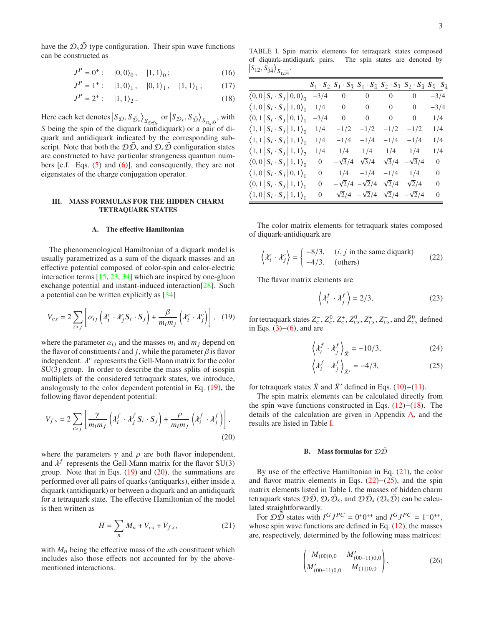have the  $\mathcal{D}_s \mathcal{D}$  type configuration. Their spin wave functions can be constructed as

$$
J^{P} = 0^{+} : |0,0\rangle_{0}, |1,1\rangle_{0}; \qquad (16)
$$

$$
J^{P} = 1^{+} : |1,0\rangle_{1}, |0,1\rangle_{1}, |1,1\rangle_{1}; \qquad (17)
$$

$$
J^P = 2^+ : \quad |1,1\rangle_2. \tag{18}
$$

Here each ket denotes  $|S_{\mathcal{D}}, S_{\bar{\mathcal{D}}_s}\rangle$  $S_{\mathcal{D}\bar{\mathcal{D}}_{S}}$  or  $\left|S_{\mathcal{D}_{S}}, S_{\bar{\mathcal{D}}}\right\rangle$  $S_{\mathcal{D}_s\bar{\mathcal{D}}}$ , with S being the spin of the diquark (antidiquark) or a pair of diquark and antidiquark indicated by the corresponding subscript. Note that both the  $\mathcal{D}\bar{\mathcal{D}}_s$  and  $\mathcal{D}_s\bar{\mathcal{D}}$  configuration states are constructed to have particular strangeness quantum numbers [c.f. Eqs. [\(5\)](#page-1-3) and [\(6\)](#page-1-4)], and consequently, they are not eigenstates of the charge conjugation operator.

### <span id="page-2-0"></span>**III. MASS FORMULAS FOR THE HIDDEN CHARM TETRAQUARK STATES**

## **A. The effective Hamiltonian**

The phenomenological Hamiltonian of a diquark model is usually parametrized as a sum of the diquark masses and an effective potential composed of color-spin and color-electric interaction terms [\[15,](#page-8-14) [23,](#page-8-22) [34](#page-8-26)] which are inspired by one-gluon exchange potential and instant-induced interaction[\[28\]](#page-8-27). Such a potential can be written explicitly as [\[34](#page-8-26)]

$$
V_{cs} = 2 \sum_{i>j} \left[ \alpha_{ij} \left( \lambda_i^c \cdot \lambda_j^c \mathbf{S}_i \cdot \mathbf{S}_j \right) + \frac{\beta}{m_i m_j} \left( \lambda_i^c \cdot \lambda_j^c \right) \right], \quad (19)
$$

where the parameter  $\alpha_{ij}$  and the masses  $m_i$  and  $m_j$  depend on the flavor of constituents *i* and *j*, while the parameter  $\beta$  is flavor independent.  $\lambda^c$  represents the Gell-Mann matrix for the color SU(3) group. In order to describe the mass splits of isospin multiplets of the considered tetraquark states, we introduce, analogously to the color dependent potential in Eq. [\(19\)](#page-2-1), the following flavor dependent potential:

$$
V_{fs} = 2\sum_{i>j} \left[ \frac{\gamma}{m_i m_j} \left( \lambda_i^f \cdot \lambda_j^f S_i \cdot S_j \right) + \frac{\rho}{m_i m_j} \left( \lambda_i^f \cdot \lambda_j^f \right) \right],
$$
\n(20)

where the parameters  $\gamma$  and  $\rho$  are both flavor independent, and  $\lambda^f$  represents the Gell-Mann matrix for the flavor SU(3) group. Note that in Eqs.  $(19)$  and  $(20)$ , the summations are performed over all pairs of quarks (antiquarks), either inside a diquark (antidiquark) or between a diquark and an antidiquark for a tetraquark state. The effective Hamiltonian of the model is then written as

$$
H = \sum_{n} M_n + V_{cs} + V_{fs},
$$
 (21)

with  $M_n$  being the effective mass of the *n*th constituent which includes also those effects not accounted for by the abovementioned interactions.

<span id="page-2-4"></span>TABLE I. Spin matrix elements for tetraquark states composed of diquark-antidiquark pairs. The spin states are denoted by  $S_{12}, S_{\bar{3}\bar{4}}\rangle_{S_{12\bar{3}\bar{4}}}$ 

<span id="page-2-10"></span><span id="page-2-9"></span><span id="page-2-3"></span>

|                                               |                |                |                            |                | $S_1 \cdot S_2$ $S_1 \cdot S_{\bar{3}}$ $S_1 \cdot S_{\bar{4}}$ $S_2 \cdot S_{\bar{3}}$ $S_2 \cdot S_{\bar{4}}$ $S_{\bar{3}} \cdot S_{\bar{4}}$ |          |
|-----------------------------------------------|----------------|----------------|----------------------------|----------------|-------------------------------------------------------------------------------------------------------------------------------------------------|----------|
| $\langle 0,0   S_i \cdot S_j   0,0 \rangle_0$ | $-3/4$         | $\overline{0}$ | $\overline{0}$             | $\overline{0}$ | $\boldsymbol{0}$                                                                                                                                | $-3/4$   |
| $(1,0 S_i \cdot S_j   1,0)$                   | 1/4            | $\mathbf{0}$   | $\overline{0}$             | $\overline{0}$ | $\overline{0}$                                                                                                                                  | $-3/4$   |
| $\langle 0,1   S_i \cdot S_j   0,1 \rangle_1$ | $-3/4$         | $\overline{0}$ | $\overline{0}$             | $\overline{0}$ | $\overline{0}$                                                                                                                                  | 1/4      |
| $\langle 1,1   S_i \cdot S_j   1,1 \rangle_0$ | 1/4            | $-1/2$         | $-1/2$                     | $-1/2$         | $-1/2$                                                                                                                                          | 1/4      |
| $\langle 1,1   S_i \cdot S_j   1,1 \rangle_1$ | 1/4            | $-1/4$         | $-1/4$                     | $-1/4$         | $-1/4$                                                                                                                                          | 1/4      |
| $\langle 1,1   S_i \cdot S_j   1,1 \rangle_2$ | 1/4            | 1/4            | 1/4                        | 1/4            | 1/4                                                                                                                                             | 1/4      |
| $\langle 0,0   S_i \cdot S_j   1,1 \rangle_0$ | $\overline{0}$ | $-\sqrt{3}/4$  | $\sqrt{3}/4$               | $\sqrt{3}/4$   | $-\sqrt{3}/4$                                                                                                                                   | $\theta$ |
| $(1,0 S_i \cdot S_j  0,1)_{1}$                | 0              | 1/4            | $-1/4$                     | $-1/4$         | 1/4                                                                                                                                             | 0        |
| $\langle 0,1   S_i \cdot S_j   1,1 \rangle_1$ | $\overline{0}$ |                | $-\sqrt{2}/4 - \sqrt{2}/4$ | $\sqrt{2}/4$   | $\sqrt{2}/4$                                                                                                                                    | $\Omega$ |
| $(1,0 S_i \cdot S_j   1,1)$                   | 0              |                | $\sqrt{2}/4 - \sqrt{2}/4$  | $\sqrt{2}/4$   | $-\sqrt{2}/4$                                                                                                                                   | $\Omega$ |

The color matrix elements for tetraquark states composed of diquark-antidiquark are

$$
\left\langle \lambda_i^c \cdot \lambda_j^c \right\rangle = \begin{cases} -8/3, & (i, j \text{ in the same diquark}) \\ -4/3, & (\text{others}) \end{cases}
$$
 (22)

The flavor matrix elements are

<span id="page-2-6"></span>
$$
\left\langle \lambda_i^f \cdot \lambda_j^f \right\rangle = 2/3, \tag{23}
$$

<span id="page-2-1"></span>for tetraquark states  $Z_c^-$ ,  $Z_c^0$ ,  $Z_c^+$ ,  $Z_{cs}^0$ ,  $Z_{cs}^+$ ,  $Z_{cs}^-$ , and  $\bar Z_{cs}^0$  defined in Eqs.  $(3)–(6)$  $(3)–(6)$ , and are

$$
\left\langle \lambda_i^f \cdot \lambda_j^f \right\rangle_{\bar{X}} = -10/3, \tag{24}
$$

<span id="page-2-7"></span>
$$
\left\langle \lambda_i^f \cdot \lambda_j^f \right\rangle_{\bar{X}'} = -4/3, \tag{25}
$$

for tetraquark states  $\bar{X}$  and  $\bar{X}'$  defined in Eqs. [\(10\)](#page-1-5)–[\(11\)](#page-1-2).

The spin matrix elements can be calculated directly from the spin wave functions constructed in Eqs. [\(12\)](#page-1-6)−[\(18\)](#page-2-3). The details of the calculation are given in Appendix [A,](#page-6-0) and the results are listed in Table [I.](#page-2-4)

## <span id="page-2-8"></span>**B.** Mass formulas for  $\mathcal{D}\overline{\mathcal{D}}$

<span id="page-2-2"></span>By use of the effective Hamiltonian in Eq. [\(21\)](#page-2-5), the color and flavor matrix elements in Eqs.  $(22)$ − $(25)$ , and the spin matrix elements listed in Table [I,](#page-2-4) the masses of hidden charm tetraquark states  $\mathcal{D}\bar{\mathcal{D}}, \mathcal{D}_s\bar{\mathcal{D}}_s$ , and  $\mathcal{D}\bar{\mathcal{D}}_s (\mathcal{D}_s\bar{\mathcal{D}})$  can be calculated straightforwardly.

<span id="page-2-5"></span>For  $\mathcal{D}\bar{\mathcal{D}}$  states with  $I^G J^{PC} = 0^+ 0^{++}$  and  $I^G J^{PC} = 1^- 0^{++}$ , whose spin wave functions are defined in Eq.  $(12)$ , the masses are, respectively, determined by the following mass matrices:

$$
\begin{pmatrix} M_{(00)0,0} & M'_{(00-11)0,0} \\ M'_{(00-11)0,0} & M_{(11)0,0} \end{pmatrix},
$$
\n(26)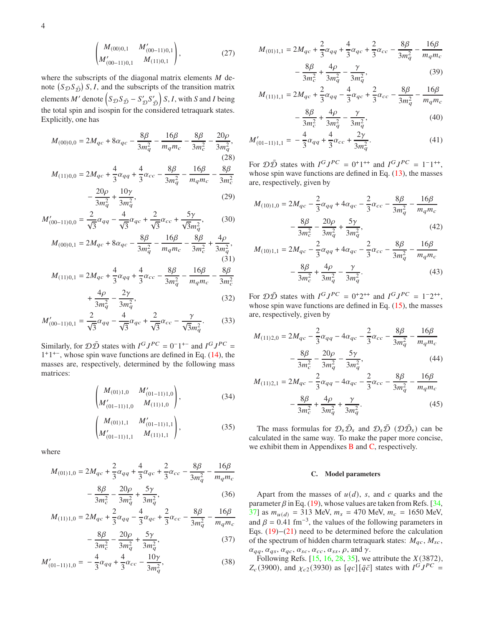$$
\begin{pmatrix} M_{(00)0,1} & M'_{(00-11)0,1} \\ M'_{(00-11)0,1} & M_{(11)0,1} \end{pmatrix}, \tag{27}
$$

where the subscripts of the diagonal matrix elements  $M$  denote  $(S_{\mathcal{D}}S_{\bar{\mathcal{D}}})$  S, I, and the subscripts of the transition matrix elements *M'* denote  $(S_{\mathcal{D}}S_{\bar{\mathcal{D}}}-S_{\mathcal{D}}'S_{\bar{\mathcal{D}}}$  $(S, I, with S and I being$ the total spin and isospin for the considered tetraquark states. Explicitly, one has

$$
M_{(00)0,0} = 2M_{qc} + 8\alpha_{qc} - \frac{8\beta}{3m_q^2} - \frac{16\beta}{m_q m_c} - \frac{8\beta}{3m_c^2} - \frac{20\rho}{3m_q^2},\tag{28}
$$

$$
M_{(11)0,0} = 2M_{qc} + \frac{4}{3}\alpha_{qq} + \frac{4}{3}\alpha_{cc} - \frac{8\beta}{3m_q^2} - \frac{16\beta}{m_qm_c} - \frac{8\beta}{3m_c^2}
$$

$$
-\frac{20\rho}{3m_q^2} + \frac{10\gamma}{3m_q^2},\tag{29}
$$

$$
M'_{(00-11)0,0} = \frac{2}{\sqrt{3}}\alpha_{qq} - \frac{4}{\sqrt{3}}\alpha_{qc} + \frac{2}{\sqrt{3}}\alpha_{cc} + \frac{5\gamma}{\sqrt{3}m_q^2},\tag{30}
$$

$$
M_{(00)0,1} = 2M_{qc} + 8\alpha_{qc} - \frac{8\beta}{3m_q^2} - \frac{16\beta}{m_q m_c} - \frac{8\beta}{3m_c^2} + \frac{4\rho}{3m_q^2},\tag{31}
$$

$$
M_{(11)0,1} = 2M_{qc} + \frac{4}{3}\alpha_{qq} + \frac{4}{3}\alpha_{cc} - \frac{8\beta}{3m_q^2} - \frac{16\beta}{m_qm_c} - \frac{8\beta}{3m_c^2}
$$

$$
+\frac{4\rho}{3m_q^2} - \frac{2\gamma}{3m_q^2},\tag{32}
$$

$$
M'_{(00-11)0,1} = \frac{2}{\sqrt{3}}\alpha_{qq} - \frac{4}{\sqrt{3}}\alpha_{qc} + \frac{2}{\sqrt{3}}\alpha_{cc} - \frac{\gamma}{\sqrt{3}m_q^2}.
$$
 (33)

Similarly, for  $\mathcal{D}\bar{\mathcal{D}}$  states with  $I^G J^{PC} = 0^{-1^{+-}}$  and  $I^G J^{PC} = 0$ 1 +1 +−, whose spin wave functions are defined in Eq. [\(14\)](#page-1-7), the masses are, respectively, determined by the following mass matrices:

$$
\begin{pmatrix} M_{(01)1,0} & M'_{(01-11)1,0} \\ M'_{(01-11)1,0} & M_{(11)1,0} \end{pmatrix}, \tag{34}
$$

$$
\begin{pmatrix} M_{(01)1,1} & M'_{(01-11)1,1} \\ M'_{(01-11)1,1} & M_{(11)1,1} \end{pmatrix}, \tag{35}
$$

where

$$
M_{(01)1,0} = 2M_{qc} + \frac{2}{3}\alpha_{qq} + \frac{4}{3}\alpha_{qc} + \frac{2}{3}\alpha_{cc} - \frac{8\beta}{3m_q^2} - \frac{16\beta}{m_q m_c}
$$
  
8\beta \t 20\rho \t 5\gamma

$$
-\frac{op}{3m_c^2} - \frac{2op}{3m_q^2} + \frac{5}{3m_q^2},
$$
(36)

$$
M_{(11)1,0} = 2M_{qc} + \frac{2}{3}\alpha_{qq} - \frac{4}{3}\alpha_{qc} + \frac{2}{3}\alpha_{cc} - \frac{8\beta}{3m_q^2} - \frac{16\beta}{m_qm_c}
$$

$$
-\frac{8\beta}{3m_c^2} - \frac{20\rho}{3m_q^2} + \frac{5\gamma}{3m_q^2},\tag{37}
$$

$$
M'_{(01-11)1,0} = -\frac{4}{3}\alpha_{qq} + \frac{4}{3}\alpha_{cc} - \frac{10\gamma}{3m_q^2},
$$
\n(38)

$$
M_{(01)1,1} = 2M_{qc} + \frac{2}{3}\alpha_{qq} + \frac{4}{3}\alpha_{qc} + \frac{2}{3}\alpha_{cc} - \frac{8\beta}{3m_q^2} - \frac{16\beta}{m_q m_c}
$$
  
8\beta \t4\rho \t\t\gamma

$$
-\frac{op}{3m_c^2} + \frac{op}{3m_q^2} - \frac{7}{3m_q^2},
$$
(39)

$$
M_{(11)1,1} = 2M_{qc} + \frac{2}{3}\alpha_{qq} - \frac{4}{3}\alpha_{qc} + \frac{2}{3}\alpha_{cc} - \frac{8\beta}{3m_q^2} - \frac{16\beta}{m_q m_c}
$$

$$
-\frac{8\beta}{3m_c^2} + \frac{4\rho}{3m_q^2} - \frac{\gamma}{3m_q^2},\tag{40}
$$

$$
M'_{(01-11)1,1} = -\frac{4}{3}\alpha_{qq} + \frac{4}{3}\alpha_{cc} + \frac{2\gamma}{3m_q^2}.
$$
 (41)

For  $D\overline{D}$  states with  $I^G J^{PC} = 0^+ 1^{++}$  and  $I^G J^{PC} = 1^- 1^{++}$ , whose spin wave functions are defined in Eq.  $(13)$ , the masses are, respectively, given by

$$
M_{(10)1,0} = 2M_{qc} - \frac{2}{3}\alpha_{qq} + 4\alpha_{qc} - \frac{2}{3}\alpha_{cc} - \frac{8\beta}{3m_q^2} - \frac{16\beta}{m_q m_c} - \frac{8\beta}{3m_c^2} - \frac{20\rho}{3m_q^2} + \frac{5\gamma}{3m_q^2},
$$
\n(42)

$$
M_{(10)1,1} = 2M_{qc} - \frac{2}{3}\alpha_{qq} + 4\alpha_{qc} - \frac{2}{3}\alpha_{cc} - \frac{8\beta}{3m_q^2} - \frac{16\beta}{m_q m_c} - \frac{8\beta}{3m_c^2} + \frac{4\rho}{3m_q^2} - \frac{\gamma}{3m_q^2}.
$$
 (43)

For  $\mathcal{D}\bar{\mathcal{D}}$  states with  $I^G J^{PC} = 0^+ 2^{++}$  and  $I^G J^{PC} = 1^- 2^{++}$ , whose spin wave functions are defined in Eq.  $(15)$ , the masses are, respectively, given by

$$
M_{(11)2,0} = 2M_{qc} - \frac{2}{3}\alpha_{qq} - 4\alpha_{qc} - \frac{2}{3}\alpha_{cc} - \frac{8\beta}{3m_q^2} - \frac{16\beta}{m_qm_c} - \frac{8\beta}{3m_c^2} - \frac{20\rho}{3m_q^2} - \frac{5\gamma}{3m_q^2},
$$
(44)

$$
M_{(11)2,1} = 2M_{qc} - \frac{2}{3}\alpha_{qq} - 4\alpha_{qc} - \frac{2}{3}\alpha_{cc} - \frac{8\beta}{3m_q^2} - \frac{16\beta}{m_q m_c} - \frac{8\beta}{3m_c^2} + \frac{4\rho}{3m_q^2} + \frac{\gamma}{3m_q^2}.
$$
 (45)

The mass formulas for  $\mathcal{D}_s \bar{\mathcal{D}}_s$  and  $\mathcal{D}_s \bar{\mathcal{D}}$  ( $\mathcal{D} \bar{\mathcal{D}}_s$ ) can be calculated in the same way. To make the paper more concise, we exhibit them in Appendixes [B](#page-6-1) and [C,](#page-7-0) respectively.

## <span id="page-3-0"></span>**C. Model parameters**

Apart from the masses of  $u(d)$ , s, and c quarks and the parameter  $\beta$  in Eq. [\(19\)](#page-2-1), whose values are taken from Refs. [\[34,](#page-8-26) [37](#page-8-28)] as  $m_{u(d)} = 313$  MeV,  $m_s = 470$  MeV,  $m_c = 1650$  MeV, and  $\beta = 0.41$  fm<sup>-3</sup>, the values of the following parameters in Eqs. [\(19\)](#page-2-1)−[\(21\)](#page-2-5) need to be determined before the calculation of the spectrum of hidden charm tetraquark states:  $M_{ac}$ ,  $M_{sc}$ ,  $\alpha_{qq}, \alpha_{qs}, \alpha_{qc}, \alpha_{sc}, \alpha_{cc}, \alpha_{ss}, \rho$ , and  $\gamma$ .

Following Refs. [\[15](#page-8-14), [16](#page-8-16), [28](#page-8-27), [35](#page-8-29)], we attribute the  $X(3872)$ ,  $Z_c(3900)$ , and  $\chi_{c2}(3930)$  as  $[qc][\bar{q}\bar{c}]$  states with  $I^G J^{PC} =$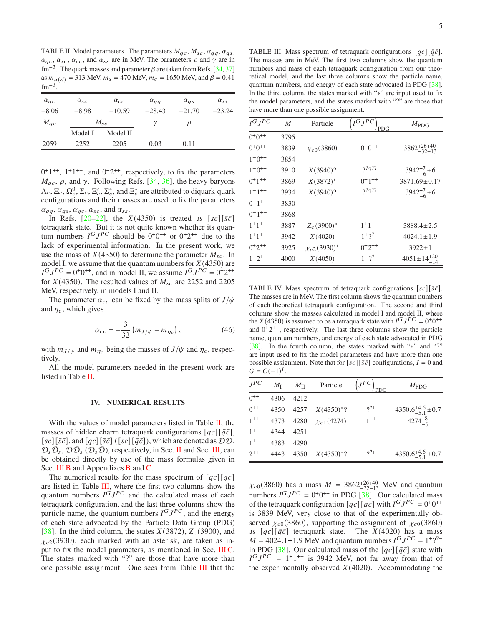<span id="page-4-1"></span>TABLE II. Model parameters. The parameters  $M_{qc}$ ,  $M_{sc}$ ,  $\alpha_{qa}$ ,  $\alpha_{qs}$ ,  $\alpha_{qc}$ ,  $\alpha_{sc}$ ,  $\alpha_{cc}$ , and  $\alpha_{ss}$  are in MeV. The parameters  $\rho$  and  $\gamma$  are in fm<sup>-3</sup>. The quark masses and parameter  $\beta$  are taken from Refs. [\[34,](#page-8-26) [37](#page-8-28)] as  $m_{u(d)} = 313$  MeV,  $m_s = 470$  MeV,  $m_c = 1650$  MeV, and  $\beta = 0.41$  $\rm fm^{-3}$ .

| $\alpha_{qc}$ | $\alpha_{sc}$ | $\alpha_{cc}$ | $\alpha_{qq}$ | $\alpha_{qs}$ | $\alpha_{ss}$ |
|---------------|---------------|---------------|---------------|---------------|---------------|
| $-8.06$       | $-8.98$       | $-10.59$      | $-28.43$      | $-21.70$      | $-23.24$      |
| $M_{qc}$      | $M_{sc}$      |               |               | Ω             |               |
|               | Model I       | Model II      |               |               |               |
| 2059          | 2252          | 2205          | 0.03          | 0.11          |               |

 $0^+1^{++}$ ,  $1^+1^{+-}$ , and  $0^+2^{++}$ , respectively, to fix the parameters  $M_{qc}$ ,  $\rho$ , and  $\gamma$ . Following Refs. [\[34](#page-8-26), [36\]](#page-8-30), the heavy baryons  $\Lambda_c$ ,  $\Xi_c$ ,  $\Omega_c^0$ ,  $\Sigma_c$ ,  $\Xi_c^{\prime}$ ,  $\Sigma_c^*$ , and  $\Xi_c^*$  are attributed to diquark-quark configurations and their masses are used to fix the parameters  $\alpha_{qq}, \alpha_{qs}, \alpha_{qc}, \alpha_{sc}$ , and  $\alpha_{ss}$ .

In Refs.  $[20-22]$ , the  $X(4350)$  is treated as  $[sc][\bar{s}\bar{c}]$ tetraquark state. But it is not quite known whether its quantum numbers  $I^G J^{PC}$  should be  $0^+0^{++}$  or  $0^+2^{++}$  due to the lack of experimental information. In the present work, we use the mass of  $X(4350)$  to determine the parameter  $M_{sc}$ . In model I, we assume that the quantum numbers for  $X(4350)$  are  $I^G J^{PC} = 0^+ 0^{++}$ , and in model II, we assume  $I^G J^{PC} = 0^+ 2^{++}$ for  $X(4350)$ . The resulted values of  $M_{sc}$  are 2252 and 2205 MeV, respectively, in models I and II.

The parameter  $\alpha_{cc}$  can be fixed by the mass splits of  $J/\psi$ and  $\eta_c$ , which gives

$$
\alpha_{cc} = -\frac{3}{32} (m_{J/\psi} - m_{\eta_c}), \qquad (46)
$$

with  $m_{J/\psi}$  and  $m_{\eta_c}$  being the masses of  $J/\psi$  and  $\eta_c$ , respectively.

All the model parameters needed in the present work are listed in Table [II.](#page-4-1)

### <span id="page-4-0"></span>**IV. NUMERICAL RESULTS**

With the values of model parameters listed in Table  $II$ , the masses of hidden charm tetraquark configurations  $[qc][\bar{q}\bar{c}]$ , [sc][ $\bar{s}\bar{c}$ ], and [ $\bar{q}c$ ][ $\bar{s}\bar{c}$ ] ([sc][ $\bar{q}\bar{c}$ ]), which are denoted as  $\mathcal{D}\mathcal{D}$ ,  $D_s \overline{D}_s$ ,  $D \overline{D}_s$  ( $D_s \overline{D}$ ), respectively, in Sec. [II](#page-1-0) and Sec. [III,](#page-2-0) can be obtained directly by use of the mass formulas given in Sec. [III B](#page-2-8) and Appendixes [B](#page-6-1) and [C.](#page-7-0)

The numerical results for the mass spectrum of  $[qc][\bar{q}\bar{c}]$ are listed in Table [III,](#page-4-2) where the first two columns show the quantum numbers  $I^G J^{PC}$  and the calculated mass of each tetraquark configuration, and the last three columns show the particle name, the quantum numbers  $I^G J^{PC}$ , and the energy of each state advocated by the Particle Data Group (PDG) [\[38\]](#page-8-32). In the third column, the states  $X(3872)$ ,  $Z_c(3900)$ , and  $\chi_{c2}(3930)$ , each marked with an asterisk, are taken as input to fix the model parameters, as mentioned in Sec. IIIC. The states marked with "?" are those that have more than one possible assignment. One sees from Table [III](#page-4-2) that the

<span id="page-4-2"></span>TABLE III. Mass spectrum of tetraquark configurations  $[qc][\bar{q}\bar{c}]$ . The masses are in MeV. The first two columns show the quantum numbers and mass of each tetraquark configuration from our theoretical model, and the last three columns show the particle name, quantum numbers, and energy of each state advocated in PDG [\[38](#page-8-32)]. In the third column, the states marked with "∗" are input used to fix the model parameters, and the states marked with "?" are those that have more than one possible assignment.

| $I^GJ^{PC}$         | M    | Particle            | $I^GJ^{PC}$<br>PDG  | $M_{\rm PDG}$             |
|---------------------|------|---------------------|---------------------|---------------------------|
| $0+0++$             | 3795 |                     |                     |                           |
| $0+0++$             | 3839 | $\chi_{c0}(3860)$   | $0+0++$             | $3862^{+26+40}_{-32-13}$  |
| $1^-0^{++}$         | 3854 |                     |                     |                           |
| $1^-0^{++}$         | 3910 | $X(3940)$ ?         | $2^{2}2^{22}$       | $3942^{+7}_{-6}$ ± 6      |
| $0+1++$             | 3869 | $X(3872)^*$         | $0+1$ <sup>++</sup> | $3871.69 \pm 0.17$        |
| $1^-1^{++}$         | 3934 | $X(3940)$ ?         | $2^{2}2^{2}2$       | $3942^{+7}_{-6}$ ± 6      |
| $0^-1^{+-}$         | 3830 |                     |                     |                           |
| $0^-1^{+-}$         | 3868 |                     |                     |                           |
| $1+1+-$             | 3887 | $Z_c(3900)^*$       | $1+1+-$             | $3888.4 \pm 2.5$          |
| $1+1+-$             | 3942 | X(4020)             | $1+2?$              | $4024.1 \pm 1.9$          |
| $0+2$ <sup>++</sup> | 3925 | $\chi_{c2}(3930)^*$ | $0+2^{++}$          | $3922 \pm 1$              |
| $1^-2^{++}$         | 4000 | X(4050)             | $1 - 2^{2+}$        | $4051 \pm 14^{+20}_{-14}$ |

<span id="page-4-3"></span>TABLE IV. Mass spectrum of tetraquark configurations  $[sc][\bar{s}\bar{c}]$ . The masses are in MeV. The first column shows the quantum numbers of each theoretical tetraquark configuration. The second and third columns show the masses calculated in model I and model II, where the  $X(4350)$  is assumed to be a tetraquark state with  $I^G J^P C = 0^+ 0^{++}$ and  $0^+2^{++}$ , respectively. The last three columns show the particle name, quantum numbers, and energy of each state advocated in PDG [\[38](#page-8-32)]. In the fourth column, the states marked with "\*" and "?" are input used to fix the model parameters and have more than one possible assignment. Note that for  $[sc][\bar{s}\bar{c}]$  configurations,  $I = 0$  and  $G = C(-1)^{T}.$ 

| $J^{PC}$ | $M_{\rm I}$ | $M_{\rm H}$ | Particle            | $J^{PC}$<br><b>PDG</b> | $M_{\rm PDG}$                  |
|----------|-------------|-------------|---------------------|------------------------|--------------------------------|
| $0^{++}$ | 4306        | 42.12       |                     |                        |                                |
| $0^{++}$ |             |             | 4350 4257 X(4350)*? | $2^{2+}$               | $4350.6^{+4.6}_{-5.1} \pm 0.7$ |
| $1^{++}$ | 4373        | 4280        | $\chi_{c1}(4274)$   | $1^{++}$               | $4274^{+8}_{-6}$               |
| $1^{+-}$ | 4344        | 4251        |                     |                        |                                |
| $1^{+-}$ | 4383        | 4290        |                     |                        |                                |
| $2^{++}$ | 4443        | 4350        | $X(4350)^{*}$ ?     | $2^{2+}$               | $4350.6^{+4.6}_{-5.1} \pm 0.7$ |

 $\chi_{c0}(3860)$  has a mass  $M = 3862^{+26+40}_{-32-13}$  MeV and quantum numbers  $I^G J^{PC} = 0^+ 0^{++}$  in PDG [\[38\]](#page-8-32). Our calculated mass of the tetraquark configuration  $[qc][\bar{q}\bar{c}]$  with  $I^G J^{PC} = 0^+0^{++}$ is 3839 MeV, very close to that of the experimentally observed  $\chi_{c0}(3860)$ , supporting the assignment of  $\chi_{c0}(3860)$ as  $\lceil q_c \rceil \lceil \bar{q} \bar{c} \rceil$  tetraquark state. The  $X(4020)$  has a mass  $M = 4024.1 \pm 1.9$  MeV and quantum numbers  $I^G J^{PC} = 1^+ ?^2$ in PDG [\[38\]](#page-8-32). Our calculated mass of the  $[qc][\bar{q}\bar{c}]$  state with  $I^G J^{PC} = 1^+1^{+-}$  is 3942 MeV, not far away from that of the experimentally observed  $X(4020)$ . Accommodating the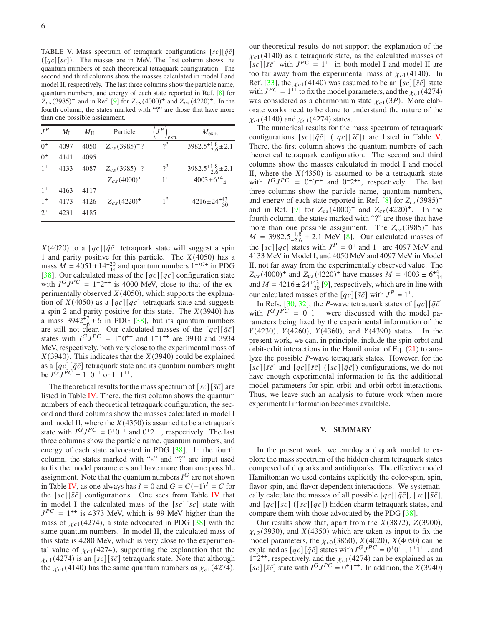<span id="page-5-1"></span>TABLE V. Mass spectrum of tetraquark configurations  $[sc][\bar{q}\bar{c}]$  $([qc][\bar{s}\bar{c}])$ . The masses are in MeV. The first column shows the quantum numbers of each theoretical tetraquark configuration. The second and third columns show the masses calculated in model I and model II, respectively. The last three columns show the particle name, quantum numbers, and energy of each state reported in Ref. [\[8](#page-8-7)] for  $Z_{cs}(3985)$ <sup>-</sup> and in Ref. [\[9\]](#page-8-8) for  $Z_{cs}(4000)$ <sup>+</sup> and  $Z_{cs}(4220)$ <sup>+</sup>. In the fourth column, the states marked with "?" are those that have more than one possible assignment.

| $J^P$   | $M_{\rm I}$ | $M_{\rm H}$ | Particle                       | exp.           | $M_{\rm exp.}$               |
|---------|-------------|-------------|--------------------------------|----------------|------------------------------|
| $0^{+}$ | 4097        | 4050        | $Z_{cs}$ (3985) <sup>-</sup> ? | 2              | $3982.5^{+1.8}_{-2.6}$ ± 2.1 |
| $0^{+}$ | 4141        | 4095        |                                |                |                              |
| $1^+$   | 4133        | 4087        | $Z_{cs}$ (3985) <sup>-</sup> ? | $2^?$          | $3982.5^{+1.8}_{-2.6}$ ± 2.1 |
|         |             |             | $Z_{cs}(4000)^+$               | $1^+$          | $4003 \pm 6^{+4}_{-14}$      |
| $1^{+}$ | 4163        | 4117        |                                |                |                              |
| $1^{+}$ | 4173        | 4126        | $Z_{cs}$ (4220) <sup>+</sup>   | 1 <sup>2</sup> | $4216 \pm 24^{+43}_{-30}$    |
| $2^{+}$ | 4231        | 4185        |                                |                |                              |
|         |             |             |                                |                |                              |

 $X(4020)$  to a  $[qc][\bar{q}\bar{c}]$  tetraquark state will suggest a spin 1 and parity positive for this particle. The  $X(4050)$  has a mass  $\dot{M} = 4051 \pm 14^{+20}$  and quantum numbers  $1^{-2^{2+}}$  in PDG [\[38\]](#page-8-32). Our calculated mass of the  $[qc][\bar{q}\bar{c}]$  configuration state with  $I^G J^{PC} = 1^{-}2^{++}$  is 4000 MeV, close to that of the experimentally observed  $X(4050)$ , which supports the explanation of  $X(4050)$  as a  $[qc][\bar{q}\bar{c}]$  tetraquark state and suggests a spin 2 and parity positive for this state. The  $X(3940)$  has a mass  $3942^{+7}_{-6} \pm 6$  in PDG [\[38](#page-8-32)], but its quantum numbers a mass  $33-2/6$  in 1 DG [00], our its quantum numbers<br>are still not clear. Our calculated masses of the  $[qc][\bar{q}\bar{c}]$ states with  $I^G J^{PC} = 1^-0^{++}$  and  $1^-1^{++}$  are 3910 and 3934 MeV, respectively, both very close to the experimental mass of  $X(3940)$ . This indicates that the  $X(3940)$  could be explained as a  $[qc][\bar{q}\bar{c}]$  tetraquark state and its quantum numbers might be  $I^{\tilde{G}} J^{\tilde{P}\tilde{C}} = 1^{-}0^{++}$  or  $1^{-}1^{++}$ .

The theoretical results for the mass spectrum of  $[sc][\bar{s}\bar{c}]$  are listed in Table  $IV$ . There, the first column shows the quantum numbers of each theoretical tetraquark configuration, the second and third columns show the masses calculated in model I and model II, where the  $X(4350)$  is assumed to be a tetraquark state with  $I^G J^{PC} = 0^+ 0^{++}$  and  $0^+ 2^{++}$ , respectively. The last three columns show the particle name, quantum numbers, and energy of each state advocated in PDG [\[38](#page-8-32)]. In the fourth column, the states marked with "∗" and "?" are input used to fix the model parameters and have more than one possible assignment. Note that the quantum numbers  $I^G$  are not shown in Table [IV,](#page-4-3) as one always has  $I = 0$  and  $G = C(-1)^{T} = C$  for the  $[sc][\bar{s}\bar{c}]$  configurations. One sees from Table [IV](#page-4-3) that in model I the calculated mass of the  $[sc][\bar{s}\bar{c}]$  state with  $J^{PC} = 1^{++}$  is 4373 MeV, which is 99 MeV higher than the mass of  $\chi_{c1}(4274)$ , a state advocated in PDG [\[38\]](#page-8-32) with the same quantum numbers. In model II, the calculated mass of this state is 4280 MeV, which is very close to the experimental value of  $\chi_{c1}(4274)$ , supporting the explanation that the  $\chi_{c1}(4274)$  is an [sc][ $\bar{s}\bar{c}$ ] tetraquark state. Note that although the  $\chi_{c1}(4140)$  has the same quantum numbers as  $\chi_{c1}(4274)$ , our theoretical results do not support the explanation of the  $\chi_{c1}(4140)$  as a tetraquark state, as the calculated masses of  $[sc][\bar{s}\bar{c}]$  with  $J^{PC} = 1^{++}$  in both model I and model II are too far away from the experimental mass of  $\chi_{c1}(4140)$ . In Ref. [\[33\]](#page-8-15), the  $\chi_{c1}(4140)$  was assumed to be an [sc][ $\bar{s}\bar{c}$ ] state with  $J^{PC} = 1^{++}$  to fix the model parameters, and the  $\chi_{c1}(4274)$ was considered as a charmonium state  $\chi_{c1}(3P)$ . More elaborate works need to be done to understand the nature of the  $\chi_{c1}(4140)$  and  $\chi_{c1}(4274)$  states.

The numerical results for the mass spectrum of tetraquark configurations  $[sc][\bar{q}\bar{c}]$  ( $[qc][\bar{s}\bar{c}]$ ) are listed in Table [V.](#page-5-1) There, the first column shows the quantum numbers of each theoretical tetraquark configuration. The second and third columns show the masses calculated in model I and model II, where the  $X(4350)$  is assumed to be a tetraquark state with  $I^G J^{PC} = 0^+ 0^{++}$  and  $0^+ 2^{++}$ , respectively. The last three columns show the particle name, quantum numbers, and energy of each state reported in Ref. [\[8\]](#page-8-7) for  $Z_{cs}(3985)$ <sup>-</sup> and in Ref. [\[9\]](#page-8-8) for  $Z_{cs}(4000)^+$  and  $Z_{cs}(4220)^+$ . In the fourth column, the states marked with "?" are those that have more than one possible assignment. The  $Z_{cs}(3985)$ <sup>-</sup> has  $M = 3982.5^{+1.8}_{-2.6} \pm 2.1$  MeV [\[8\]](#page-8-7). Our calculated masses of the  $[sc][\bar{q}\bar{c}]$  states with  $J^P = 0^+$  and  $1^+$  are 4097 MeV and 4133 MeV in Model I, and 4050 MeV and 4097 MeV in Model II, not far away from the experimentally observed value. The  $Z_{cs}(4000)^+$  and  $Z_{cs}(4220)^+$  have masses  $M = 4003 \pm 6^{+4}_{-1}$  $\Delta_{CS}$ (+000) and  $\Delta_{CS}$ (+220) have masses  $M = +0.03 \pm 0.14$ <br>and  $M = 4216 \pm 24^{+43}_{-30}$  [\[9\]](#page-8-8), respectively, which are in line with our calculated masses of the  $[qc][\bar{s}\bar{c}]$  with  $J^P = 1^+$ .

In Refs. [\[30,](#page-8-18) [32\]](#page-8-33), the *P*-wave tetraquark states of  $[qc][\bar{q}\bar{c}]$ with  $I^G J^{PC} = 0^- 1^{-}$  were discussed with the model parameters being fixed by the experimental information of the  $Y(4230)$ ,  $Y(4260)$ ,  $Y(4360)$ , and  $Y(4390)$  states. In the present work, we can, in principle, include the spin-orbit and orbit-orbit interactions in the Hamiltonian of Eq. [\(21\)](#page-2-5) to analyze the possible  $P$ -wave tetraquark states. However, for the [sc][ $\bar{s}\bar{c}$ ] and [ $q\bar{c}$ ][ $\bar{s}\bar{c}$ ] ([sc][ $\bar{q}\bar{c}$ ]) configurations, we do not have enough experimental information to fix the additional model parameters for spin-orbit and orbit-orbit interactions. Thus, we leave such an analysis to future work when more experimental information becomes available.

### <span id="page-5-0"></span>**V. SUMMARY**

In the present work, we employ a diquark model to explore the mass spectrum of the hidden charm tetraquark states composed of diquarks and antidiquarks. The effective model Hamiltonian we used contains explicitly the color-spin, spin, flavor-spin, and flavor dependent interactions. We systematically calculate the masses of all possible  $[qc][\bar{q}\bar{c}], [sc][\bar{s}\bar{c}],$ and  $[qc][\bar{s}\bar{c}]$  ( $[sc][\bar{q}\bar{c}]$ ) hidden charm tetraquark states, and compare them with those advocated by the PDG [\[38](#page-8-32)].

Our results show that, apart from the  $X(3872)$ ,  $Z(3900)$ ,  $\chi_{c2}(3930)$ , and  $\chi(4350)$  which are taken as input to fix the model parameters, the  $\chi_{c0}(3860)$ ,  $X(4020)$ ,  $X(4050)$  can be explained as  $[qc][\bar{q}\bar{c}]$  states with  $I^G J^{PC} = 0^+0^{++}$ ,  $1^+1^{+-}$ , and  $1^{\text{-}}2^{\text{++}}$ , respectively, and the  $\chi_{c1}(4274)$  can be explained as an [ $s \bar{c}$ ] state with  $I^G J^{PC} = 0^+ 1^{++}$ . In addition, the  $X(3940)$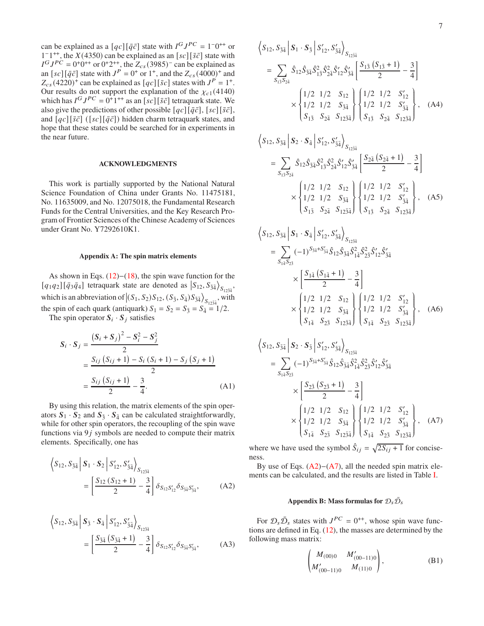can be explained as a  $[qc][\bar{q}\bar{c}]$  state with  $I^G J^{PC} = 1^-0^{++}$  or  $1^{-1^{++}}$ , the  $X(4350)$  can be explained as an  $[sc][\bar{s}\bar{c}]$  state with  $I^G J^{PC} = 0^+0^{++}$  or  $0^+2^{++}$ , the  $Z_{cs}(3985)^-$  can be explained as an  $[sc][\bar{q}\bar{c}]$  state with  $J^P = 0^+$  or  $1^+$ , and the  $Z_{cs}(4000)^+$  and  $Z_{cs}(4220)^+$  can be explained as  $[qc][\bar{s}c]$  states with  $J^P = 1^+$ . Our results do not support the explanation of the  $\chi_{c1}(4140)$ which has  $I^G J^{PC} = 0^{\frac{1}{4}+ \frac{1}{4}}$  as an  $[sc][\bar{s}\bar{c}]$  tetraquark state. We also give the predictions of other possible  $[qc][\bar{q}\bar{c}]$ , [sc][ $\bar{s}\bar{c}$ ], and  $[qc][\bar{s}\bar{c}]$  ( $[sc][\bar{q}\bar{c}]$ ) hidden charm tetraquark states, and hope that these states could be searched for in experiments in the near future.

### **ACKNOWLEDGMENTS**

This work is partially supported by the National Natural Science Foundation of China under Grants No. 11475181, No. 11635009, and No. 12075018, the Fundamental Research Funds for the Central Universities, and the Key Research Program of Frontier Sciences of the Chinese Academy of Sciences under Grant No. Y7292610K1.

### <span id="page-6-0"></span>**Appendix A: The spin matrix elements**

As shown in Eqs. [\(12\)](#page-1-6)−[\(18\)](#page-2-3), the spin wave function for the [ $q_1q_2$ ] [ $\bar{q}_3\bar{q}_4$ ] tetraquark state are denoted as  $|S_{12}, S_{34} \rangle$  $S_{12\bar{3}4}$ which is an abbreviation of  $|(S_1, S_2)S_{12}, (S_{\bar{3}}, S_{\bar{4}})S_{\bar{3}\bar{4}}\rangle$  $S_{12\bar{3}\bar{4}}$ , with the spin of each quark (antiquark)  $S_1 = S_2 = S_{\overline{3}} = S_{\overline{4}} = 1/2$ .

The spin operator  $S_i \cdot S_j$  satisfies

$$
S_i \cdot S_j = \frac{(S_i + S_j)^2 - S_i^2 - S_j^2}{2}
$$
  
= 
$$
\frac{S_{ij} (S_{ij} + 1) - S_i (S_i + 1) - S_j (S_j + 1)}{2}
$$
  
= 
$$
\frac{S_{ij} (S_{ij} + 1)}{2} - \frac{3}{4}.
$$
 (A1)

By using this relation, the matrix elements of the spin operators  $S_1 \cdot S_2$  and  $S_{\bar{3}} \cdot S_{\bar{4}}$  can be calculated straightforwardly, while for other spin operators, the recoupling of the spin wave functions via  $9j$  symbols are needed to compute their matrix elements. Specifically, one has

$$
\left\langle S_{12}, S_{\bar{3}\bar{4}} \left| S_1 \cdot S_2 \right| S'_{12}, S'_{\bar{3}\bar{4}} \right\rangle_{S_{12\bar{3}\bar{4}}}
$$
  
= 
$$
\left[ \frac{S_{12} (S_{12} + 1)}{2} - \frac{3}{4} \right] \delta_{S_{12} S'_{12}} \delta_{S_{\bar{3}\bar{4}} S'_{\bar{3}\bar{4}}},
$$
 (A2)

$$
\left\langle S_{12}, S_{\bar{3}\bar{4}} \middle| S_{\bar{3}} \cdot S_{\bar{4}} \middle| S'_{12}, S'_{\bar{3}\bar{4}} \right\rangle_{S_{12\bar{3}\bar{4}}}
$$

$$
= \left[ \frac{S_{\bar{3}\bar{4}} \left( S_{\bar{3}\bar{4}} + 1 \right)}{2} - \frac{3}{4} \right] \delta_{S_{12}S'_{12}} \delta_{S_{\bar{3}\bar{4}}S'_{\bar{3}\bar{4}}}, \tag{A3}
$$

$$
\left\langle S_{12}, S_{\bar{3}\bar{4}} \middle| S_1 \cdot S_{\bar{3}} \middle| S'_{12}, S'_{\bar{3}\bar{4}} \right\rangle_{S_{12\bar{3}\bar{4}}}
$$
\n
$$
= \sum_{S_{1\bar{3}}S_{2\bar{4}}} \hat{S}_{12} \hat{S}_{3\bar{4}} \hat{S}'_{1\bar{3}} \hat{S}'_{2\bar{4}} \hat{S}'_{12} \hat{S}'_{3\bar{4}} \left[ \frac{S_{1\bar{3}}(S_{1\bar{3}}+1)}{2} - \frac{3}{4} \right]
$$
\n
$$
\times \left\{ \begin{array}{ccc} 1/2 & 1/2 & S_{12} \\ 1/2 & 1/2 & S_{\bar{3}\bar{4}} \\ S_{1\bar{3}} & S_{2\bar{4}} & S_{12\bar{3}\bar{4}} \end{array} \right\} \left\{ \begin{array}{ccc} 1/2 & 1/2 & S'_{12} \\ 1/2 & 1/2 & S'_{\bar{3}\bar{4}} \\ S_{1\bar{3}} & S_{2\bar{4}} & S_{12\bar{3}\bar{4}} \end{array} \right\}, \quad (A4)
$$

$$
\left\langle S_{12}, S_{\bar{3}\bar{4}} \middle| S_2 \cdot S_{\bar{4}} \middle| S'_{12}, S'_{\bar{3}\bar{4}} \right\rangle_{S_{12\bar{3}\bar{4}}}
$$
\n
$$
= \sum_{S_{1\bar{3}}S_{2\bar{4}}} \hat{S}_{12} \hat{S}_{\bar{3}\bar{4}} S_{1\bar{3}}^2 \hat{S}_{2\bar{4}}^2 \hat{S}'_{12} \hat{S}'_{\bar{3}\bar{4}} \left[ \frac{S_{2\bar{4}} (S_{2\bar{4}} + 1)}{2} - \frac{3}{4} \right]
$$
\n
$$
\times \left\{ \begin{array}{ccc} 1/2 & 1/2 & S_{12} \\ 1/2 & 1/2 & S_{\bar{3}\bar{4}} \\ S_{1\bar{3}} & S_{2\bar{4}} & S_{12\bar{3}\bar{4}} \end{array} \right\} \left\{ \begin{array}{ccc} 1/2 & 1/2 & S'_{12} \\ 1/2 & 1/2 & S'_{\bar{3}\bar{4}} \\ S_{1\bar{3}} & S_{2\bar{4}} & S_{12\bar{3}\bar{4}} \end{array} \right\}, \quad (A5)
$$

$$
\left\langle S_{12}, S_{\bar{3}\bar{4}} \middle| S_1 \cdot S_{\bar{4}} \middle| S'_{12}, S'_{\bar{3}\bar{4}} \right\rangle_{S_{12\bar{3}\bar{4}}}
$$
\n
$$
= \sum_{S_{1\bar{4}}S_{2\bar{3}}} (-1)^{S_{\bar{3}\bar{4}} + S'_{\bar{3}\bar{4}}} \hat{S}_{12} \hat{S}_{\bar{3}\bar{4}} \hat{S}'_{1\bar{4}} \hat{S}'_{2\bar{3}} \hat{S}'_{12} \hat{S}'_{3\bar{4}}
$$
\n
$$
\times \left\{ \frac{S_{1\bar{4}} (S_{1\bar{4}} + 1)}{2} - \frac{3}{4} \right\}
$$
\n
$$
\times \left\{ \frac{1}{2} \frac{1}{2} \frac{1}{2} S_{\bar{3}\bar{4}} \right\} \left\{ \frac{1}{2} \frac{1}{2} \frac{1}{2} S'_{12}
$$
\n
$$
S_{\bar{3}\bar{4}} \right\} \left\{ \frac{1}{2} \frac{1}{2} \frac{1}{2} S'_{\bar{3}\bar{4}} \right\}, \quad (A6)
$$

$$
S_{12}, S_{\bar{3}\bar{4}} \Big| S_2 \cdot S_{\bar{3}} \Big| S'_{12}, S'_{\bar{3}\bar{4}} \Big\rangle_{S_{12\bar{3}\bar{4}}}
$$
  
\n
$$
= \sum_{S_{1\bar{4}}S_{2\bar{3}}} (-1)^{S_{\bar{3}\bar{4}}+S'_{\bar{3}\bar{4}}}\hat{S}_{12}\hat{S}_{\bar{3}\bar{4}}\hat{S}^{2}_{1\bar{4}}\hat{S}^{2}_{2\bar{3}}\hat{S}'_{12}\hat{S}'_{\bar{3}\bar{4}}
$$
  
\n
$$
\times \Bigg[ \frac{S_{2\bar{3}} (S_{2\bar{3}} + 1)}{2} - \frac{3}{4} \Bigg] \times \begin{cases} 1/2 & 1/2 & S_{12} \\ 1/2 & 1/2 & S_{\bar{3}\bar{4}} \\ S_{1\bar{4}} & S_{2\bar{3}} & S_{12\bar{3}\bar{4}} \end{cases} \Bigg\{ \frac{1/2}{2} \Bigg| 1/2 & 1/2 & S'_{\bar{3}\bar{4}} \\ S_{1\bar{4}} & S_{2\bar{3}} & S_{12\bar{3}\bar{4}} \end{cases}, (A7)
$$

 $\overline{1}$ 

where we have used the symbol  $\hat{S}_{ij} = \sqrt{2S_{ij} + 1}$  for conciseness.

<span id="page-6-2"></span>By use of Eqs. [\(A2\)](#page-6-2)−[\(A7\)](#page-6-3), all the needed spin matrix elements can be calculated, and the results are listed in Table [I.](#page-2-4)

# <span id="page-6-3"></span><span id="page-6-1"></span>**Appendix B: Mass formulas for**  $\mathcal{D}_s \bar{\mathcal{D}}_s$

For  $\mathcal{D}_s \bar{\mathcal{D}}_s$  states with  $J^{PC} = 0^{++}$ , whose spin wave functions are defined in Eq. [\(12\)](#page-1-6), the masses are determined by the following mass matrix:

$$
\begin{pmatrix} M_{(00)0} & M'_{(00-11)0} \\ M'_{(00-11)0} & M_{(11)0} \end{pmatrix}, \tag{B1}
$$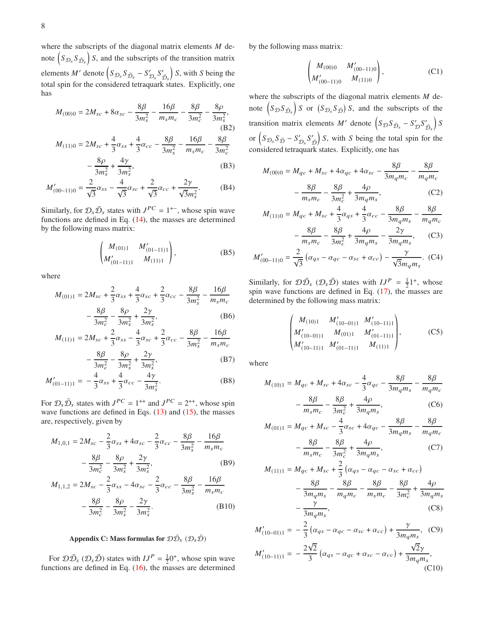where the subscripts of the diagonal matrix elements  $M$  denote  $\left(S_{\mathcal{D}_s}S_{\bar{\mathcal{D}}_s}\right)$  $\int$  S, and the subscripts of the transition matrix elements *M'* denote  $(S_{\mathcal{D}_s} S_{\mathcal{D}_s} - S_{\mathcal{D}_s}' S_{\mathcal{D}_s}'$  $S$ , with *S* being the total spin for the considered tetraquark states. Explicitly, one has

$$
M_{(00)0} = 2M_{sc} + 8\alpha_{sc} - \frac{8\beta}{3m_s^2} - \frac{16\beta}{m_s m_c} - \frac{8\beta}{3m_c^2} - \frac{8\rho}{3m_s^2},
$$
\n(B2)  
\n
$$
M_{(11)0} = 2M_{sc} + \frac{4}{3}\alpha_{ss} + \frac{4}{3}\alpha_{cc} - \frac{8\beta}{3m_s^2} - \frac{16\beta}{m_s m_c} - \frac{8\beta}{3m_c^2}
$$

$$
-\frac{8\rho}{3m_s^2} + \frac{4\gamma}{3m_s^2},\tag{B3}
$$

$$
M'_{(00-11)0} = \frac{2}{\sqrt{3}}\alpha_{ss} - \frac{4}{\sqrt{3}}\alpha_{sc} + \frac{2}{\sqrt{3}}\alpha_{cc} + \frac{2\gamma}{\sqrt{3}m_s^2}.
$$
 (B4)

Similarly, for  $\mathcal{D}_s \bar{\mathcal{D}}_s$  states with  $J^{PC} = 1^{+-}$ , whose spin wave functions are defined in Eq. [\(14\)](#page-1-7), the masses are determined by the following mass matrix:

$$
\begin{pmatrix} M_{(01)1} & M'_{(01-11)1} \\ M'_{(01-11)1} & M_{(11)1} \end{pmatrix}, \tag{B5}
$$

where

$$
M_{(01)1} = 2M_{sc} + \frac{2}{3}\alpha_{ss} + \frac{4}{3}\alpha_{sc} + \frac{2}{3}\alpha_{cc} - \frac{8\beta}{3m_s^2} - \frac{16\beta}{m_s m_c} - \frac{8\beta}{3m_c^2} - \frac{8\rho}{3m_c^2} + \frac{2\gamma}{3m_s^2},
$$
 (B6)

$$
M_{(11)1} = 2M_{sc} + \frac{2}{3}\alpha_{ss} - \frac{4}{3}\alpha_{sc} + \frac{2}{3}\alpha_{cc} - \frac{8\beta}{3m_s^2} - \frac{16\beta}{m_s m_c} - \frac{8\beta}{3m_c^2} - \frac{8\rho}{3m_c^2} + \frac{2\gamma}{3m_s^2},
$$
 (B7)

$$
M'_{(01-11)1} = -\frac{4}{3}\alpha_{ss} + \frac{4}{3}\alpha_{cc} - \frac{4\gamma}{3m_s^2}.
$$
 (B8)

For  $\mathcal{D}_s \bar{\mathcal{D}}_s$  states with  $J^{PC} = 1^{++}$  and  $J^{PC} = 2^{++}$ , whose spin wave functions are defined in Eqs.  $(13)$  and  $(15)$ , the masses are, respectively, given by

$$
M_{1,0,1} = 2M_{sc} - \frac{2}{3}\alpha_{ss} + 4\alpha_{sc} - \frac{2}{3}\alpha_{cc} - \frac{8\beta}{3m_s^2} - \frac{16\beta}{m_s m_c} - \frac{8\beta}{3m_c^2} - \frac{8\rho}{3m_c^2} + \frac{2\gamma}{3m_s^2},
$$
 (B9)

$$
M_{1,1,2} = 2M_{sc} - \frac{2}{3}\alpha_{ss} - 4\alpha_{sc} - \frac{2}{3}\alpha_{cc} - \frac{8\beta}{3m_s^2} - \frac{16\beta}{m_s m_c} - \frac{8\beta}{3m_c^2} - \frac{8\rho}{3m_s^2} - \frac{2\gamma}{3m_s^2}.
$$
 (B10)

# <span id="page-7-0"></span>**Appendix C: Mass formulas for**  $\mathcal{D}\bar{\mathcal{D}}$ <sub>S</sub>  $(\mathcal{D}_s\bar{\mathcal{D}})$

For  $\mathcal{D}\bar{\mathcal{D}}_s$  ( $\mathcal{D}_s\bar{\mathcal{D}}$ ) states with  $IJ^P = \frac{1}{2}0^+$ , whose spin wave functions are defined in Eq.  $(16)$ , the masses are determined by the following mass matrix:

$$
\begin{pmatrix} M_{(00)0} & M'_{(00-11)0} \\ M'_{(00-11)0} & M_{(11)0} \end{pmatrix}, \tag{C1}
$$

where the subscripts of the diagonal matrix elements  $M$  denote  $\left(S_{\mathcal{D}}S_{\bar{\mathcal{D}}_s}\right)$  $S \circ S$  or  $(S_{\mathcal{D}_s} S_{\bar{\mathcal{D}}})$   $S$ , and the subscripts of the transition matrix elements M' denote  $(S_{\mathcal{D}}S_{\bar{\mathcal{D}}_s} - S_{\mathcal{D}}'S_{\bar{\mathcal{D}}_s}'$  $\overline{\mathcal{S}}$ or  $\left(S_{\mathcal{D}_s}S_{\bar{\mathcal{D}}}-S'_{\mathcal{D}_s}S'_{\bar{\mathcal{D}}} \right)$  $S$ , with  $S$  being the total spin for the considered tetraquark states. Explicitly, one has

$$
M_{(00)0} = M_{qc} + M_{sc} + 4\alpha_{qc} + 4\alpha_{sc} - \frac{8\beta}{3m_qm_c} - \frac{8\beta}{m_qm_c}
$$

$$
- \frac{8\beta}{m_sm_c} - \frac{8\beta}{3m_c^2} + \frac{4\rho}{3m_qm_s},
$$
(C2)

$$
M_{(11)0} = M_{qc} + M_{sc} + \frac{4}{3}\alpha_{qs} + \frac{4}{3}\alpha_{cc} - \frac{8\beta}{3m_qm_s} - \frac{8\beta}{m_qm_c} - \frac{8\beta}{m_s m_c} - \frac{8\beta}{3m_s^2} + \frac{4\rho}{3m_qm_s} - \frac{2\gamma}{3m_qm_s},
$$
 (C3)

$$
M'_{(00-11)0} = \frac{2}{\sqrt{3}} \left( \alpha_{qs} - \alpha_{qc} - \alpha_{sc} + \alpha_{cc} \right) - \frac{\gamma}{\sqrt{3} m_q m_s}.
$$
 (C4)

Similarly, for  $\mathcal{D}\bar{\mathcal{D}}_s$  ( $\mathcal{D}_s\bar{\mathcal{D}}_s$ ) states with  $IJ^P = \frac{1}{2}I^+$ , whose spin wave functions are defined in Eq.  $(17)$ , the masses are determined by the following mass matrix:

$$
\begin{pmatrix} M_{(10)1} & M'_{(10-01)1} & M'_{(10-11)1} \\ M'_{(10-01)1} & M_{(01)1} & M'_{(01-11)1} \\ M'_{(10-11)1} & M'_{(01-11)1} & M_{(11)1} \end{pmatrix},
$$
 (C5)

where

$$
M_{(10)1} = M_{qc} + M_{sc} + 4\alpha_{sc} - \frac{4}{3}\alpha_{qc} - \frac{8\beta}{3m_qm_s} - \frac{8\beta}{m_qm_c} - \frac{8\beta}{m_sm_c} - \frac{8\beta}{3m_c^2} + \frac{4\rho}{3m_qm_s},
$$
 (C6)

$$
M_{(01)1} = M_{qc} + M_{sc} - \frac{4}{3} \alpha_{sc} + 4 \alpha_{qc} - \frac{8\beta}{3m_q m_s} - \frac{8\beta}{m_q m_c} - \frac{8\beta}{m_s m_c} - \frac{8\beta}{3m_s^2} + \frac{4\rho}{3m_q m_s},
$$
 (C7)

$$
M_{(11)1} = M_{qc} + M_{sc} + \frac{2}{3} (\alpha_{qs} - \alpha_{qc} - \alpha_{sc} + \alpha_{cc}) - \frac{8\beta}{3m_qm_s} - \frac{8\beta}{m_qm_c} - \frac{8\beta}{m_s m_c} - \frac{8\beta}{3m_c^2} + \frac{4\rho}{3m_qm_s} - \frac{\gamma}{3m_qm_s},
$$
(C8)

$$
M'_{(10-01)1} = -\frac{2}{3} (\alpha_{qs} - \alpha_{qc} - \alpha_{sc} + \alpha_{cc}) + \frac{\gamma}{3m_qm_s}, \quad (C9)
$$
  

$$
M'_{(10-11)1} = -\frac{2\sqrt{2}}{3} (\alpha_{qs} - \alpha_{qc} + \alpha_{sc} - \alpha_{cc}) + \frac{\sqrt{2}\gamma}{3m_qm_s}, \quad (C10)
$$